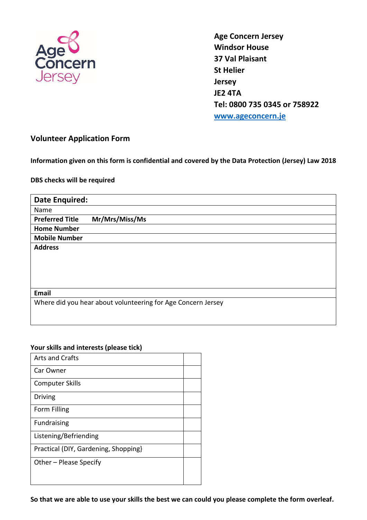

**Age Concern Jersey Windsor House 37 Val Plaisant St Helier Jersey JE2 4TA Tel: 0800 735 0345 or 758922 [www.ageconcern.je](http://www.ageconcern.je/)**

## **Volunteer Application Form**

**Information given on this form is confidential and covered by the Data Protection (Jersey) Law 2018**

## **DBS checks will be required**

| <b>Date Enquired:</b>                                        |                |  |
|--------------------------------------------------------------|----------------|--|
| Name                                                         |                |  |
| <b>Preferred Title</b>                                       | Mr/Mrs/Miss/Ms |  |
| <b>Home Number</b>                                           |                |  |
| <b>Mobile Number</b>                                         |                |  |
| <b>Address</b>                                               |                |  |
|                                                              |                |  |
|                                                              |                |  |
|                                                              |                |  |
|                                                              |                |  |
| <b>Email</b>                                                 |                |  |
| Where did you hear about volunteering for Age Concern Jersey |                |  |
|                                                              |                |  |
|                                                              |                |  |

## **Your skills and interests (please tick)**

| <b>Arts and Crafts</b>               |  |  |
|--------------------------------------|--|--|
| Car Owner                            |  |  |
| <b>Computer Skills</b>               |  |  |
| Driving                              |  |  |
| Form Filling                         |  |  |
| <b>Fundraising</b>                   |  |  |
| Listening/Befriending                |  |  |
| Practical (DIY, Gardening, Shopping) |  |  |
| Other - Please Specify               |  |  |
|                                      |  |  |
|                                      |  |  |

**So that we are able to use your skills the best we can could you please complete the form overleaf.**